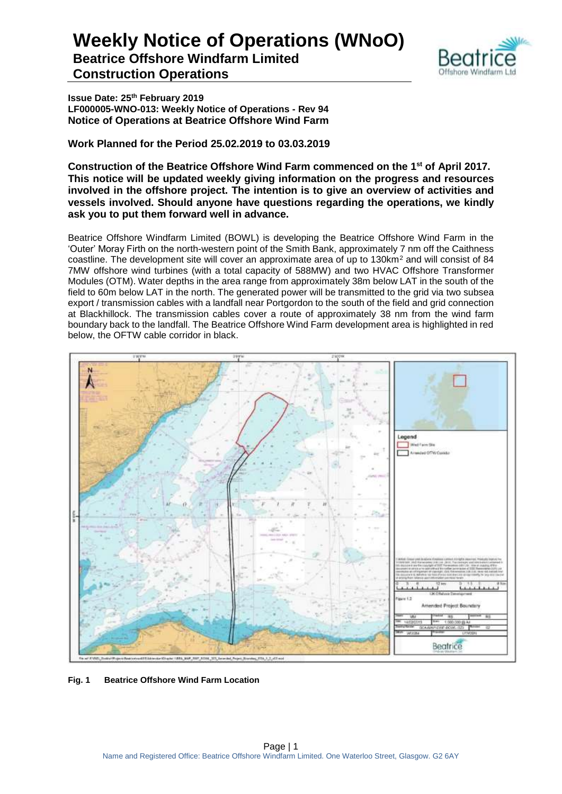

**Issue Date: 25th February 2019 LF000005-WNO-013: Weekly Notice of Operations - Rev 94 Notice of Operations at Beatrice Offshore Wind Farm**

**Work Planned for the Period 25.02.2019 to 03.03.2019**

**Construction of the Beatrice Offshore Wind Farm commenced on the 1 st of April 2017. This notice will be updated weekly giving information on the progress and resources involved in the offshore project. The intention is to give an overview of activities and vessels involved. Should anyone have questions regarding the operations, we kindly ask you to put them forward well in advance.** 

Beatrice Offshore Windfarm Limited (BOWL) is developing the Beatrice Offshore Wind Farm in the 'Outer' Moray Firth on the north-western point of the Smith Bank, approximately 7 nm off the Caithness coastline. The development site will cover an approximate area of up to 130km<sup>2</sup> and will consist of 84 7MW offshore wind turbines (with a total capacity of 588MW) and two HVAC Offshore Transformer Modules (OTM). Water depths in the area range from approximately 38m below LAT in the south of the field to 60m below LAT in the north. The generated power will be transmitted to the grid via two subsea export / transmission cables with a landfall near Portgordon to the south of the field and grid connection at Blackhillock. The transmission cables cover a route of approximately 38 nm from the wind farm boundary back to the landfall. The Beatrice Offshore Wind Farm development area is highlighted in red below, the OFTW cable corridor in black.



**Fig. 1 Beatrice Offshore Wind Farm Location**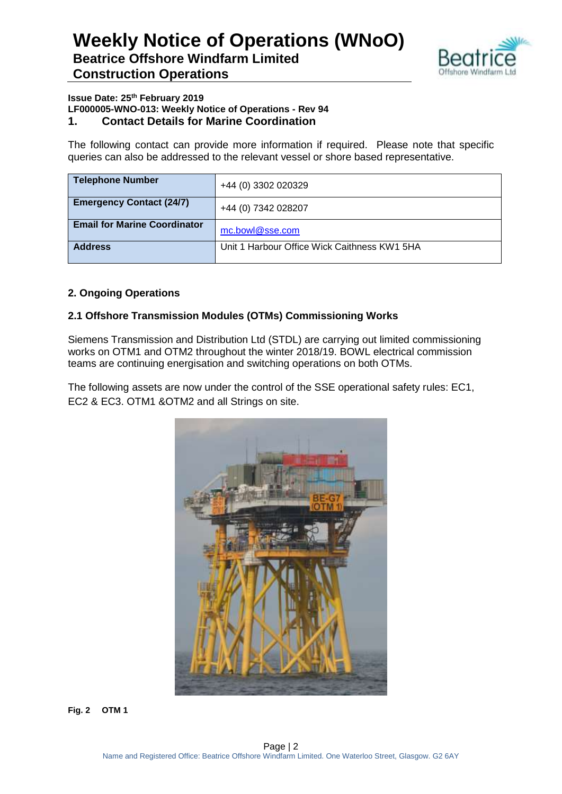

### **Issue Date: 25th February 2019 LF000005-WNO-013: Weekly Notice of Operations - Rev 94**

**1. Contact Details for Marine Coordination**

The following contact can provide more information if required. Please note that specific queries can also be addressed to the relevant vessel or shore based representative.

| <b>Telephone Number</b>             | +44 (0) 3302 020329                          |
|-------------------------------------|----------------------------------------------|
| <b>Emergency Contact (24/7)</b>     | +44 (0) 7342 028207                          |
| <b>Email for Marine Coordinator</b> | mc.bowl@sse.com                              |
| <b>Address</b>                      | Unit 1 Harbour Office Wick Caithness KW1 5HA |

#### **2. Ongoing Operations**

#### **2.1 Offshore Transmission Modules (OTMs) Commissioning Works**

Siemens Transmission and Distribution Ltd (STDL) are carrying out limited commissioning works on OTM1 and OTM2 throughout the winter 2018/19. BOWL electrical commission teams are continuing energisation and switching operations on both OTMs.

The following assets are now under the control of the SSE operational safety rules: EC1, EC2 & EC3. OTM1 &OTM2 and all Strings on site.



**Fig. 2 OTM 1**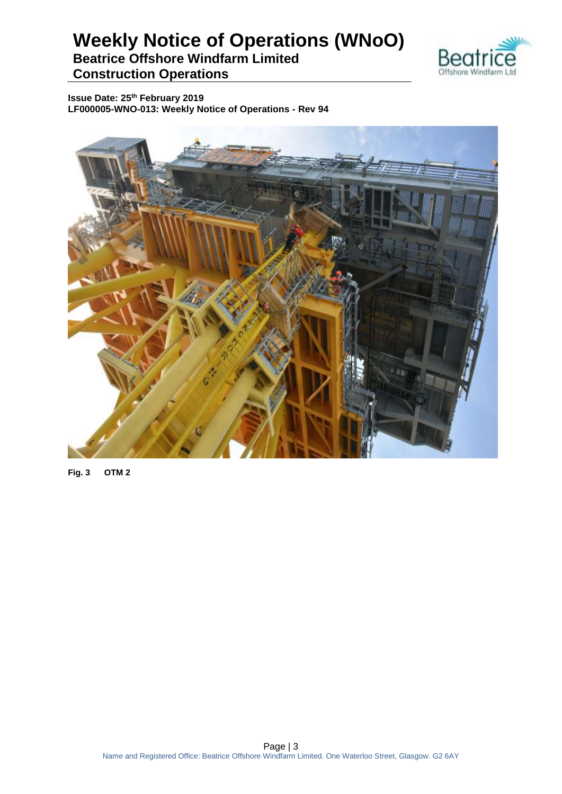

**Issue Date: 25th February 2019 LF000005-WNO-013: Weekly Notice of Operations - Rev 94**



**Fig. 3 OTM 2**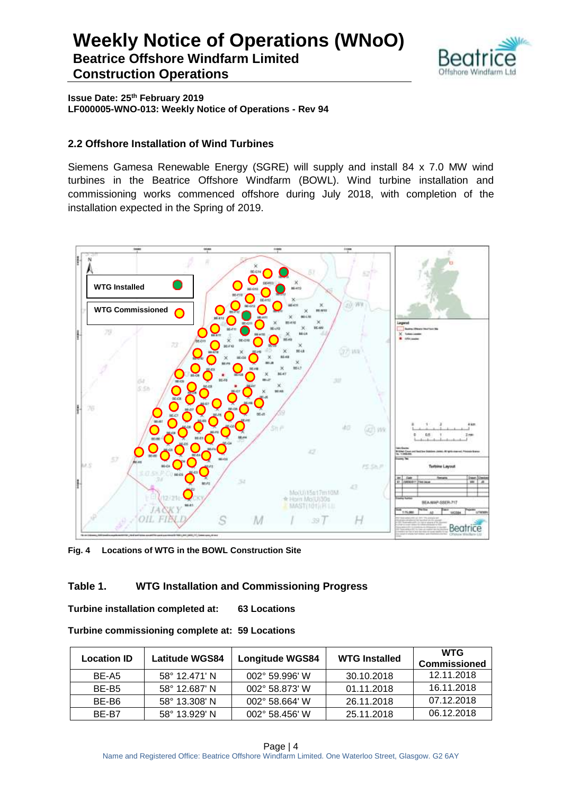

**Issue Date: 25th February 2019 LF000005-WNO-013: Weekly Notice of Operations - Rev 94**

#### **2.2 Offshore Installation of Wind Turbines**

Siemens Gamesa Renewable Energy (SGRE) will supply and install 84 x 7.0 MW wind turbines in the Beatrice Offshore Windfarm (BOWL). Wind turbine installation and commissioning works commenced offshore during July 2018, with completion of the installation expected in the Spring of 2019.



**Fig. 4 Locations of WTG in the BOWL Construction Site**

#### **Table 1. WTG Installation and Commissioning Progress**

**Turbine installation completed at: 63 Locations**

| <b>Location ID</b> | <b>Latitude WGS84</b>  | <b>WTG Installed</b><br><b>Longitude WGS84</b> |            | <b>WTG</b><br><b>Commissioned</b> |
|--------------------|------------------------|------------------------------------------------|------------|-----------------------------------|
| BE-A5              | $58^{\circ}$ 12.471' N | $002^{\circ}$ 59.996' W                        | 30.10.2018 | 12.11.2018                        |
| BE-B5              | 58° 12.687' N          | 002° 58.873' W                                 | 01.11.2018 | 16.11.2018                        |
| BE-B6              | 58° 13.308' N          | $002^{\circ}$ 58.664' W                        | 26.11.2018 | 07.12.2018                        |
| BF-B7              | $58^{\circ}$ 13.929' N | $002^{\circ}$ 58.456' W                        | 25.11.2018 | 06.12.2018                        |

**Turbine commissioning complete at: 59 Locations**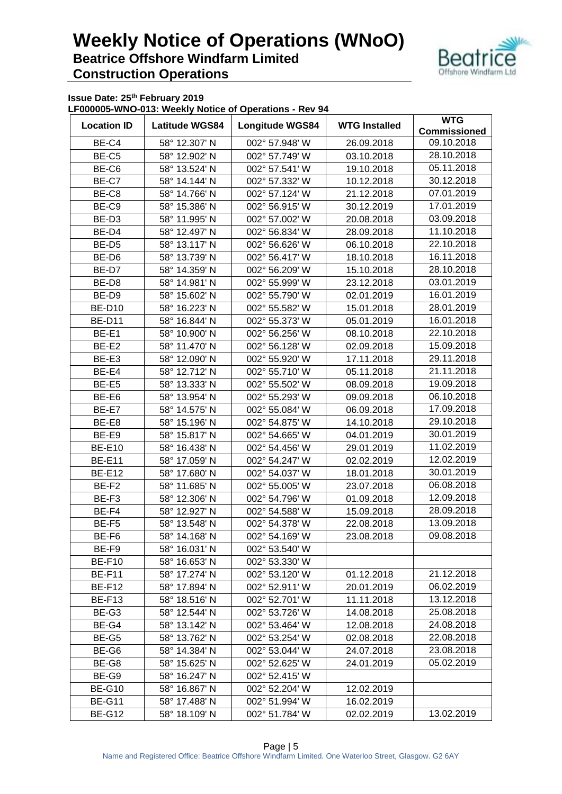

**Issue Date: 25th February 2019**

**LF000005-WNO-013: Weekly Notice of Operations - Rev 94**

| <b>Location ID</b> | <b>Latitude WGS84</b>  | <b>Longitude WGS84</b> | <b>WTG Installed</b> | <b>WTG</b><br><b>Commissioned</b> |
|--------------------|------------------------|------------------------|----------------------|-----------------------------------|
| BE-C4              | 58° 12.307' N          | 002° 57.948' W         | 26.09.2018           | 09.10.2018                        |
| BE-C5              | 58° 12.902' N          | 002° 57.749' W         | 03.10.2018           | 28.10.2018                        |
| BE-C6              | 58° 13.524' N          | 002° 57.541' W         | 19.10.2018           | 05.11.2018                        |
| BE-C7              | 58° 14.144' N          | 002° 57.332' W         | 10.12.2018           | 30.12.2018                        |
| BE-C8              | 58° 14.766' N          | 002° 57.124' W         | 21.12.2018           | 07.01.2019                        |
| BE-C9              | 58° 15.386' N          | 002° 56.915' W         | 30.12.2019           | 17.01.2019                        |
| BE-D <sub>3</sub>  | 58° 11.995' N          | 002° 57.002' W         | 20.08.2018           | 03.09.2018                        |
| BE-D4              | 58° 12.497' N          | 002° 56.834' W         | 28.09.2018           | 11.10.2018                        |
| BE-D5              | 58° 13.117' N          | 002° 56.626' W         | 06.10.2018           | 22.10.2018                        |
| BE-D6              | 58° 13.739' N          | 002° 56.417' W         | 18.10.2018           | 16.11.2018                        |
| BE-D7              | 58° 14.359' N          | 002° 56.209' W         | 15.10.2018           | 28.10.2018                        |
| BE-D8              | 58° 14.981' N          | 002° 55.999' W         | 23.12.2018           | 03.01.2019                        |
|                    |                        | 002° 55.790' W         |                      | 16.01.2019                        |
| BE-D9              | 58° 15.602' N          | 002° 55.582' W         | 02.01.2019           | 28.01.2019                        |
| <b>BE-D10</b>      | 58° 16.223' N          |                        | 15.01.2018           | 16.01.2018                        |
| <b>BE-D11</b>      | 58° 16.844' N          | 002° 55.373' W         | 05.01.2019           | 22.10.2018                        |
| BE-E1              | 58° 10.900' N          | 002° 56.256' W         | 08.10.2018           |                                   |
| BE-E2              | 58° 11.470' N          | 002° 56.128' W         | 02.09.2018           | 15.09.2018                        |
| BE-E3              | 58° 12.090' N          | 002° 55.920' W         | 17.11.2018           | 29.11.2018                        |
| BE-E4              | 58° 12.712' N          | 002° 55.710' W         | 05.11.2018           | 21.11.2018                        |
| BE-E5              | 58° 13.333' N          | 002° 55.502' W         | 08.09.2018           | 19.09.2018                        |
| BE-E6              | 58° 13.954' N          | 002° 55.293' W         | 09.09.2018           | 06.10.2018                        |
| BE-E7              | 58° 14.575' N          | 002° 55.084' W         | 06.09.2018           | 17.09.2018                        |
| BE-E8              | 58° 15.196' N          | 002° 54.875' W         | 14.10.2018           | 29.10.2018                        |
| BE-E9              | 58° 15.817' N          | 002° 54.665' W         | 04.01.2019           | 30.01.2019                        |
| <b>BE-E10</b>      | 58° 16.438' N          | 002° 54.456' W         | 29.01.2019           | 11.02.2019                        |
| <b>BE-E11</b>      | 58° 17.059' N          | 002° 54.247' W         | 02.02.2019           | 12.02.2019                        |
| <b>BE-E12</b>      | 58° 17.680' N          | 002° 54.037' W         | 18.01.2018           | 30.01.2019                        |
| BE-F2              | 58° 11.685' N          | 002° 55.005' W         | 23.07.2018           | 06.08.2018                        |
| BE-F3              | 58° 12.306' N          | 002° 54.796' W         | 01.09.2018           | 12.09.2018                        |
| BE-F4              | 58° 12.927' N          | 002° 54.588' W         | 15.09.2018           | 28.09.2018                        |
| BE-F5              | 58° 13.548' N          | 002° 54.378' W         | 22.08.2018           | 13.09.2018                        |
| BE-F6              | 58° 14.168' N          | 002° 54.169' W         | 23.08.2018           | 09.08.2018                        |
| BE-F9              | 58° 16.031' N          | 002° 53.540' W         |                      |                                   |
| <b>BE-F10</b>      | $58^{\circ}$ 16.653' N | 002° 53.330' W         |                      |                                   |
| BE-F11             | 58° 17.274' N          | 002° 53.120' W         | 01.12.2018           | 21.12.2018                        |
| BE-F12             | 58° 17.894' N          | 002° 52.911' W         | 20.01.2019           | 06.02.2019                        |
| <b>BE-F13</b>      | 58° 18.516' N          | 002° 52.701' W         | 11.11.2018           | 13.12.2018                        |
| BE-G3              | 58° 12.544' N          | 002° 53.726' W         | 14.08.2018           | 25.08.2018                        |
| BE-G4              | 58° 13.142' N          | 002° 53.464' W         | 12.08.2018           | 24.08.2018                        |
| BE-G5              | 58° 13.762' N          | 002° 53.254' W         | 02.08.2018           | 22.08.2018                        |
| BE-G6              | 58° 14.384' N          | 002° 53.044' W         | 24.07.2018           | 23.08.2018                        |
| BE-G8              | 58° 15.625' N          | 002° 52.625' W         | 24.01.2019           | 05.02.2019                        |
| BE-G9              | 58° 16.247' N          | 002° 52.415' W         |                      |                                   |
| <b>BE-G10</b>      | 58° 16.867' N          | 002° 52.204' W         | 12.02.2019           |                                   |
| <b>BE-G11</b>      | 58° 17.488' N          | 002° 51.994' W         | 16.02.2019           |                                   |
| <b>BE-G12</b>      | 58° 18.109' N          | 002° 51.784' W         | 02.02.2019           | 13.02.2019                        |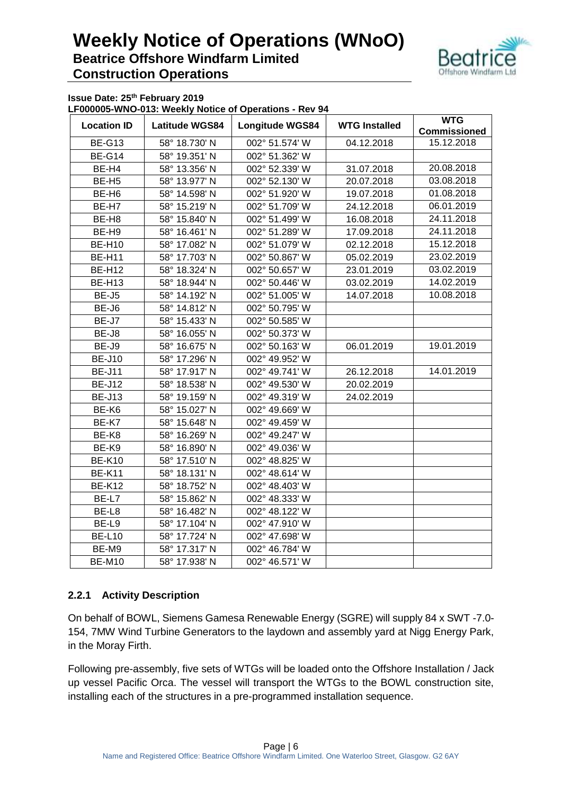

**Issue Date: 25th February 2019**

**LF000005-WNO-013: Weekly Notice of Operations - Rev 94**

|                    | THIS VID: HOOK! HOUSE OF OPSTANDING |                        |                      | <b>WTG</b>          |
|--------------------|-------------------------------------|------------------------|----------------------|---------------------|
| <b>Location ID</b> | <b>Latitude WGS84</b>               | <b>Longitude WGS84</b> | <b>WTG Installed</b> | <b>Commissioned</b> |
| <b>BE-G13</b>      | 58° 18.730' N                       | 002° 51.574' W         | 04.12.2018           | 15.12.2018          |
| <b>BE-G14</b>      | 58° 19.351' N                       |                        |                      |                     |
| BE-H4              | 58° 13.356' N                       | 002° 52.339' W         | 31.07.2018           | 20.08.2018          |
| BE-H <sub>5</sub>  | 58° 13.977' N                       | 002° 52.130' W         | 20.07.2018           | 03.08.2018          |
| BE-H6              | 58° 14.598' N                       | 002° 51.920' W         | 19.07.2018           | 01.08.2018          |
| BE-H7              | 58° 15.219' N                       | 002° 51.709' W         | 24.12.2018           | 06.01.2019          |
| BE-H8              | 58° 15.840' N                       | 002° 51.499' W         | 16.08.2018           | 24.11.2018          |
| BE-H9              | 58° 16.461' N                       | 002° 51.289' W         | 17.09.2018           | 24.11.2018          |
| <b>BE-H10</b>      | 58° 17.082' N                       | 002° 51.079' W         | 02.12.2018           | 15.12.2018          |
| <b>BE-H11</b>      | 58° 17.703' N                       | 002° 50.867' W         | 05.02.2019           | 23.02.2019          |
| <b>BE-H12</b>      | 58° 18.324' N                       | 002° 50.657' W         | 23.01.2019           | 03.02.2019          |
| <b>BE-H13</b>      | 58° 18.944' N                       | 002° 50.446' W         | 03.02.2019           | 14.02.2019          |
| BE-J5              | 58° 14.192' N                       | 002° 51.005' W         | 14.07.2018           | 10.08.2018          |
| BE-J6              | 58° 14.812' N                       | 002° 50.795' W         |                      |                     |
| BE-J7              | 58° 15.433' N                       | 002° 50.585' W         |                      |                     |
| BE-J8              | 58° 16.055' N                       | 002° 50.373' W         |                      |                     |
| BE-J9              | 58° 16.675' N                       | 002° 50.163' W         | 06.01.2019           | 19.01.2019          |
| <b>BE-J10</b>      | 58° 17.296' N                       | 002° 49.952' W         |                      |                     |
| <b>BE-J11</b>      | 58° 17.917' N                       | 002° 49.741' W         | 26.12.2018           | 14.01.2019          |
| <b>BE-J12</b>      | 58° 18.538' N                       | 002° 49.530' W         | 20.02.2019           |                     |
| <b>BE-J13</b>      | 58° 19.159' N                       | 002° 49.319' W         | 24.02.2019           |                     |
| BE-K6              | 58° 15.027' N                       | 002° 49.669' W         |                      |                     |
| BE-K7              | 58° 15.648' N                       | 002° 49.459' W         |                      |                     |
| BE-K8              | 58° 16.269' N                       | 002° 49.247' W         |                      |                     |
| BE-K9              | 58° 16.890' N                       | 002° 49.036' W         |                      |                     |
| <b>BE-K10</b>      | 58° 17.510' N                       | 002° 48.825' W         |                      |                     |
| <b>BE-K11</b>      | 58° 18.131' N                       | 002° 48.614' W         |                      |                     |
| <b>BE-K12</b>      | 58° 18.752' N                       | 002° 48.403' W         |                      |                     |
| BE-L7              | 58° 15.862' N                       | 002° 48.333' W         |                      |                     |
| BE-L8              | 58° 16.482' N                       | 002° 48.122' W         |                      |                     |
| BE-L9              | 58° 17.104' N                       | 002° 47.910' W         |                      |                     |
| <b>BE-L10</b>      | 58° 17.724' N                       | 002° 47.698' W         |                      |                     |
| BE-M9              | 58° 17.317' N                       | 002° 46.784' W         |                      |                     |
| <b>BE-M10</b>      | 58° 17.938' N                       | 002° 46.571' W         |                      |                     |

#### **2.2.1 Activity Description**

On behalf of BOWL, Siemens Gamesa Renewable Energy (SGRE) will supply 84 x SWT -7.0- 154, 7MW Wind Turbine Generators to the laydown and assembly yard at Nigg Energy Park, in the Moray Firth.

Following pre-assembly, five sets of WTGs will be loaded onto the Offshore Installation / Jack up vessel Pacific Orca. The vessel will transport the WTGs to the BOWL construction site, installing each of the structures in a pre-programmed installation sequence.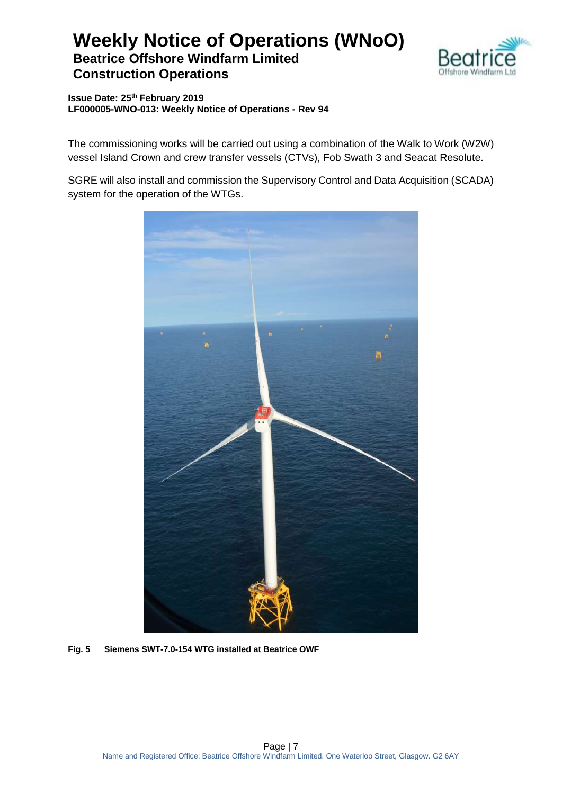

**Issue Date: 25th February 2019 LF000005-WNO-013: Weekly Notice of Operations - Rev 94**

The commissioning works will be carried out using a combination of the Walk to Work (W2W) vessel Island Crown and crew transfer vessels (CTVs), Fob Swath 3 and Seacat Resolute.

SGRE will also install and commission the Supervisory Control and Data Acquisition (SCADA) system for the operation of the WTGs.



**Fig. 5 Siemens SWT-7.0-154 WTG installed at Beatrice OWF**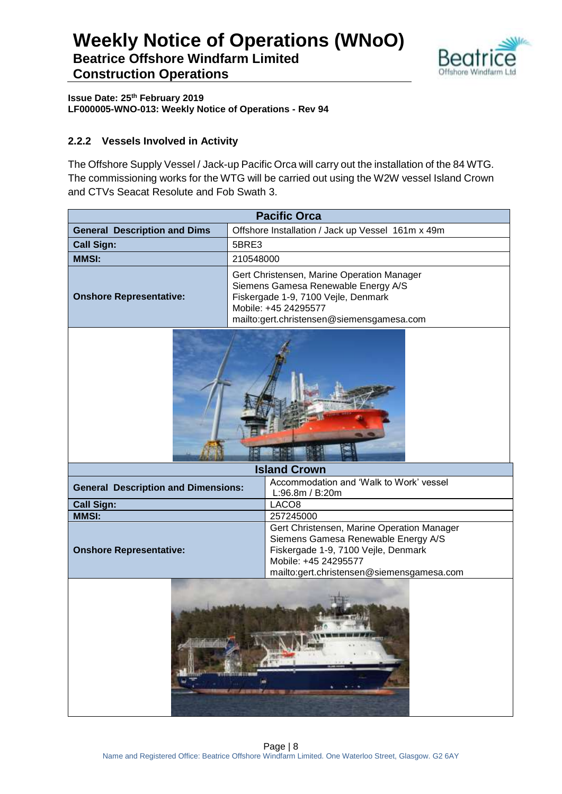

**Issue Date: 25th February 2019 LF000005-WNO-013: Weekly Notice of Operations - Rev 94**

#### **2.2.2 Vessels Involved in Activity**

The Offshore Supply Vessel / Jack-up Pacific Orca will carry out the installation of the 84 WTG. The commissioning works for the WTG will be carried out using the W2W vessel Island Crown and CTVs Seacat Resolute and Fob Swath 3.

| <b>Pacific Orca</b>                                                                                                                                                                |                                                                                                                                                                                               |  |  |  |  |
|------------------------------------------------------------------------------------------------------------------------------------------------------------------------------------|-----------------------------------------------------------------------------------------------------------------------------------------------------------------------------------------------|--|--|--|--|
| <b>General Description and Dims</b>                                                                                                                                                | Offshore Installation / Jack up Vessel 161m x 49m                                                                                                                                             |  |  |  |  |
| <b>Call Sign:</b>                                                                                                                                                                  | 5BRE3                                                                                                                                                                                         |  |  |  |  |
| <b>MMSI:</b>                                                                                                                                                                       | 210548000                                                                                                                                                                                     |  |  |  |  |
| <b>Onshore Representative:</b>                                                                                                                                                     | Gert Christensen, Marine Operation Manager<br>Siemens Gamesa Renewable Energy A/S<br>Fiskergade 1-9, 7100 Vejle, Denmark<br>Mobile: +45 24295577<br>mailto:gert.christensen@siemensgamesa.com |  |  |  |  |
|                                                                                                                                                                                    |                                                                                                                                                                                               |  |  |  |  |
|                                                                                                                                                                                    | <b>Island Crown</b>                                                                                                                                                                           |  |  |  |  |
| <b>General Description and Dimensions:</b>                                                                                                                                         | Accommodation and 'Walk to Work' vessel<br>L:96.8m / B:20m                                                                                                                                    |  |  |  |  |
| <b>Call Sign:</b><br>LACO <sub>8</sub>                                                                                                                                             |                                                                                                                                                                                               |  |  |  |  |
| <b>MMSI:</b>                                                                                                                                                                       | 257245000                                                                                                                                                                                     |  |  |  |  |
| Gert Christensen, Marine Operation Manager<br>Siemens Gamesa Renewable Energy A/S<br><b>Onshore Representative:</b><br>Fiskergade 1-9, 7100 Vejle, Denmark<br>Mobile: +45 24295577 |                                                                                                                                                                                               |  |  |  |  |
| mailto:gert.christensen@siemensgamesa.com<br>海药<br>ь<br>建态电池                                                                                                                       |                                                                                                                                                                                               |  |  |  |  |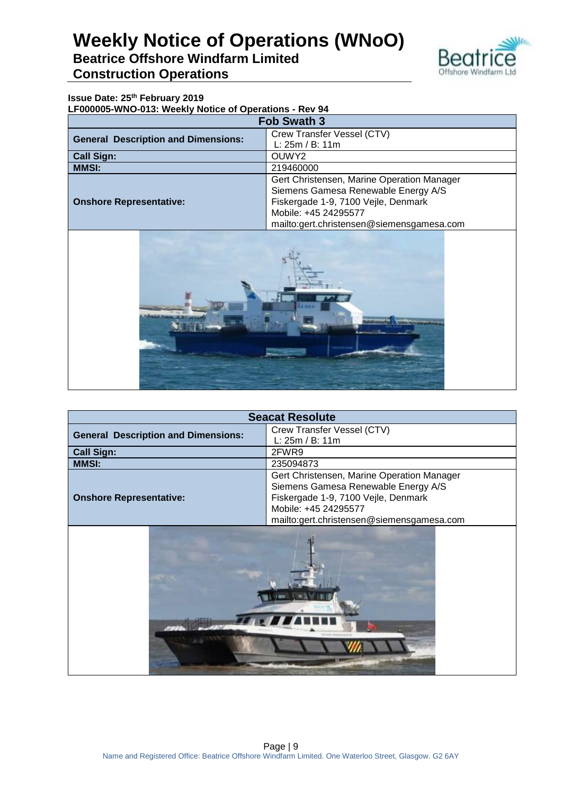

#### **Issue Date: 25th February 2019**

**LF000005-WNO-013: Weekly Notice of Operations - Rev 94**

| <b>Fob Swath 3</b>                         |                                            |  |  |
|--------------------------------------------|--------------------------------------------|--|--|
| <b>General Description and Dimensions:</b> | Crew Transfer Vessel (CTV)                 |  |  |
|                                            | L: 25m / B: 11m                            |  |  |
| <b>Call Sign:</b>                          | OUWY2                                      |  |  |
| <b>MMSI:</b>                               | 219460000                                  |  |  |
|                                            | Gert Christensen, Marine Operation Manager |  |  |
|                                            | Siemens Gamesa Renewable Energy A/S        |  |  |
| <b>Onshore Representative:</b>             | Fiskergade 1-9, 7100 Vejle, Denmark        |  |  |
|                                            | Mobile: +45 24295577                       |  |  |
|                                            | mailto:gert.christensen@siemensgamesa.com  |  |  |



| <b>Seacat Resolute</b>                     |                                            |  |  |  |
|--------------------------------------------|--------------------------------------------|--|--|--|
| <b>General Description and Dimensions:</b> | Crew Transfer Vessel (CTV)                 |  |  |  |
|                                            | L: 25m / B: 11m                            |  |  |  |
| <b>Call Sign:</b>                          | 2FWR9                                      |  |  |  |
| <b>MMSI:</b>                               | 235094873                                  |  |  |  |
|                                            | Gert Christensen, Marine Operation Manager |  |  |  |
|                                            | Siemens Gamesa Renewable Energy A/S        |  |  |  |
| <b>Onshore Representative:</b>             | Fiskergade 1-9, 7100 Vejle, Denmark        |  |  |  |
|                                            | Mobile: +45 24295577                       |  |  |  |
|                                            | mailto:gert.christensen@siemensgamesa.com  |  |  |  |
|                                            | <b>BLURE</b>                               |  |  |  |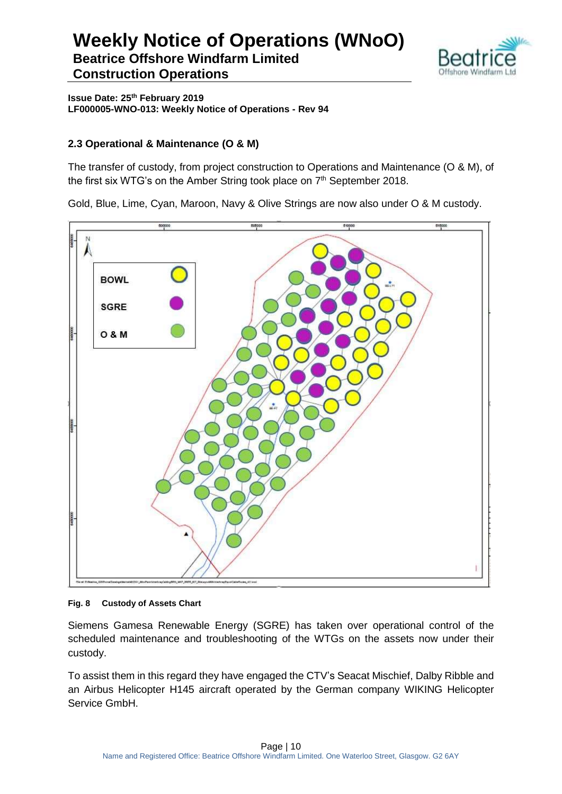

**Issue Date: 25th February 2019 LF000005-WNO-013: Weekly Notice of Operations - Rev 94**

#### **2.3 Operational & Maintenance (O & M)**

The transfer of custody, from project construction to Operations and Maintenance (O & M), of the first six WTG's on the Amber String took place on 7<sup>th</sup> September 2018.

Gold, Blue, Lime, Cyan, Maroon, Navy & Olive Strings are now also under O & M custody.



#### **Fig. 8 Custody of Assets Chart**

Siemens Gamesa Renewable Energy (SGRE) has taken over operational control of the scheduled maintenance and troubleshooting of the WTGs on the assets now under their custody.

To assist them in this regard they have engaged the CTV's Seacat Mischief, Dalby Ribble and an Airbus Helicopter H145 aircraft operated by the German company WIKING Helicopter Service GmbH.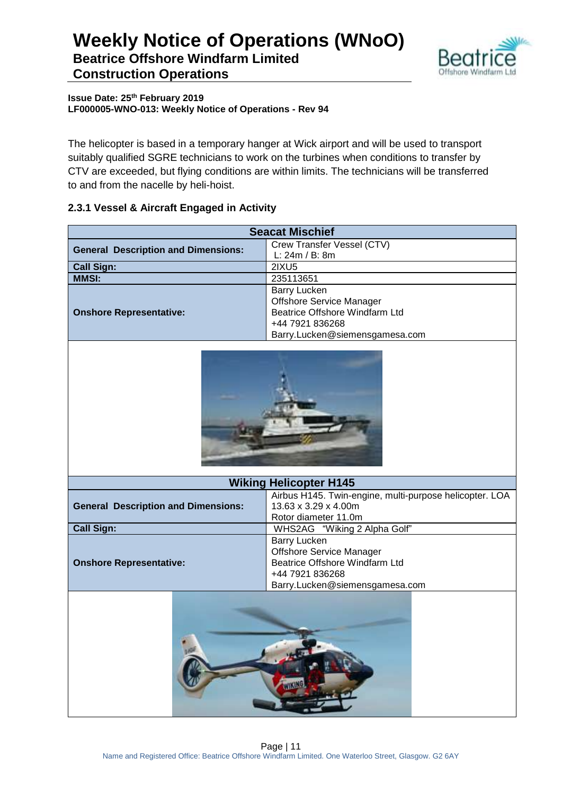

**Issue Date: 25th February 2019 LF000005-WNO-013: Weekly Notice of Operations - Rev 94**

The helicopter is based in a temporary hanger at Wick airport and will be used to transport suitably qualified SGRE technicians to work on the turbines when conditions to transfer by CTV are exceeded, but flying conditions are within limits. The technicians will be transferred to and from the nacelle by heli-hoist.

#### **2.3.1 Vessel & Aircraft Engaged in Activity**

|                                            | <b>Seacat Mischief</b>                                  |  |  |  |  |  |
|--------------------------------------------|---------------------------------------------------------|--|--|--|--|--|
| <b>General Description and Dimensions:</b> | Crew Transfer Vessel (CTV)                              |  |  |  |  |  |
|                                            | L: 24m / B: 8m                                          |  |  |  |  |  |
| <b>Call Sign:</b>                          | 2IXU5                                                   |  |  |  |  |  |
| <b>MMSI:</b>                               | 235113651                                               |  |  |  |  |  |
|                                            | Barry Lucken                                            |  |  |  |  |  |
|                                            | <b>Offshore Service Manager</b>                         |  |  |  |  |  |
| <b>Onshore Representative:</b>             | Beatrice Offshore Windfarm Ltd                          |  |  |  |  |  |
|                                            | +44 7921 836268                                         |  |  |  |  |  |
|                                            | Barry.Lucken@siemensgamesa.com                          |  |  |  |  |  |
|                                            |                                                         |  |  |  |  |  |
|                                            | <b>Wiking Helicopter H145</b>                           |  |  |  |  |  |
|                                            | Airbus H145. Twin-engine, multi-purpose helicopter. LOA |  |  |  |  |  |
| <b>General Description and Dimensions:</b> | 13.63 x 3.29 x 4.00m                                    |  |  |  |  |  |
|                                            | Rotor diameter 11.0m                                    |  |  |  |  |  |
| <b>Call Sign:</b>                          | WHS2AG "Wiking 2 Alpha Golf"                            |  |  |  |  |  |
|                                            | <b>Barry Lucken</b>                                     |  |  |  |  |  |
|                                            | <b>Offshore Service Manager</b>                         |  |  |  |  |  |
| <b>Onshore Representative:</b>             | Beatrice Offshore Windfarm Ltd                          |  |  |  |  |  |
|                                            | +44 7921 836268                                         |  |  |  |  |  |
|                                            | Barry.Lucken@siemensgamesa.com                          |  |  |  |  |  |
|                                            |                                                         |  |  |  |  |  |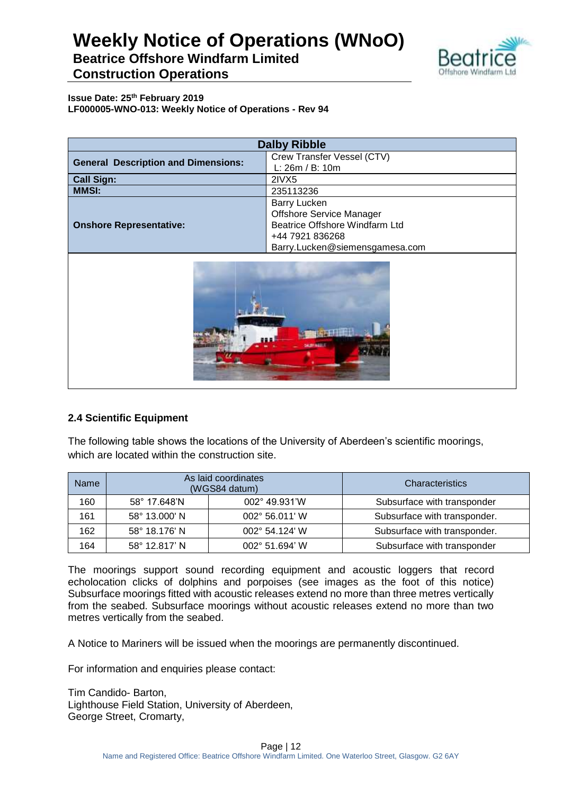

**Issue Date: 25th February 2019 LF000005-WNO-013: Weekly Notice of Operations - Rev 94**

| <b>Dalby Ribble</b>                        |                                                                                                                                               |  |  |
|--------------------------------------------|-----------------------------------------------------------------------------------------------------------------------------------------------|--|--|
| <b>General Description and Dimensions:</b> | Crew Transfer Vessel (CTV)<br>L: 26m / B: 10m                                                                                                 |  |  |
| <b>Call Sign:</b>                          | 2IVX5                                                                                                                                         |  |  |
| <b>MMSI:</b>                               | 235113236                                                                                                                                     |  |  |
| <b>Onshore Representative:</b>             | <b>Barry Lucken</b><br><b>Offshore Service Manager</b><br>Beatrice Offshore Windfarm Ltd<br>+44 7921 836268<br>Barry.Lucken@siemensgamesa.com |  |  |



#### **2.4 Scientific Equipment**

The following table shows the locations of the University of Aberdeen's scientific moorings, which are located within the construction site.

| <b>Name</b> | As laid coordinates<br>(WGS84 datum)     |                | Characteristics              |
|-------------|------------------------------------------|----------------|------------------------------|
| 160         | 002° 49.931'W<br>58° 17.648'N            |                | Subsurface with transponder  |
| 161         | 58° 13.000' N<br>002° 56.011' W          |                | Subsurface with transponder. |
| 162         | 58° 18.176' N<br>$002^{\circ}$ 54.124' W |                | Subsurface with transponder. |
| 164         | 58° 12.817' N                            | 002° 51.694' W | Subsurface with transponder  |

The moorings support sound recording equipment and acoustic loggers that record echolocation clicks of dolphins and porpoises (see images as the foot of this notice) Subsurface moorings fitted with acoustic releases extend no more than three metres vertically from the seabed. Subsurface moorings without acoustic releases extend no more than two metres vertically from the seabed.

A Notice to Mariners will be issued when the moorings are permanently discontinued.

For information and enquiries please contact:

Tim Candido- Barton, Lighthouse Field Station, University of Aberdeen, George Street, Cromarty,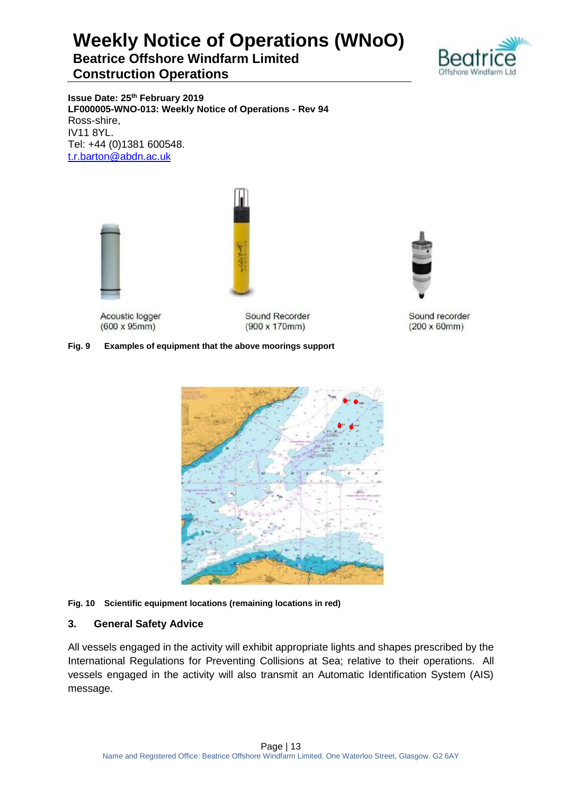

**Issue Date: 25th February 2019 LF000005-WNO-013: Weekly Notice of Operations - Rev 94** Ross-shire, IV11 8YL. Tel: +44 (0)1381 600548. [t.r.barton@abdn.ac.uk](mailto:t.r.barton@abdn.ac.uk)



Acoustic logger  $(600 \times 95 \text{mm})$ 

Sound Recorder  $(900 \times 170$ mm)

#### **Fig. 9 Examples of equipment that the above moorings support**



#### **Fig. 10 Scientific equipment locations (remaining locations in red)**

#### **3. General Safety Advice**

All vessels engaged in the activity will exhibit appropriate lights and shapes prescribed by the International Regulations for Preventing Collisions at Sea; relative to their operations. All vessels engaged in the activity will also transmit an Automatic Identification System (AIS) message.



Sound recorder  $(200 \times 60$ mm $)$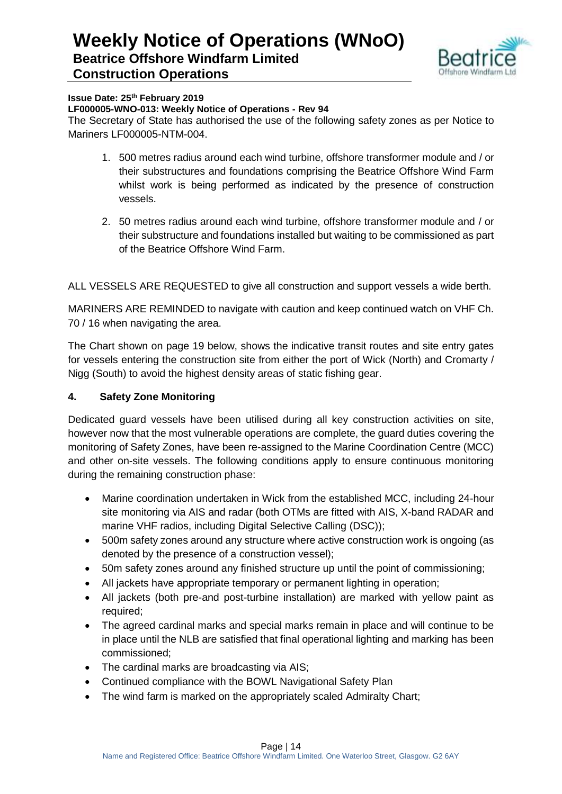

#### **Issue Date: 25th February 2019**

#### **LF000005-WNO-013: Weekly Notice of Operations - Rev 94**

The Secretary of State has authorised the use of the following safety zones as per Notice to Mariners LF000005-NTM-004.

- 1. 500 metres radius around each wind turbine, offshore transformer module and / or their substructures and foundations comprising the Beatrice Offshore Wind Farm whilst work is being performed as indicated by the presence of construction vessels.
- 2. 50 metres radius around each wind turbine, offshore transformer module and / or their substructure and foundations installed but waiting to be commissioned as part of the Beatrice Offshore Wind Farm.

ALL VESSELS ARE REQUESTED to give all construction and support vessels a wide berth.

MARINERS ARE REMINDED to navigate with caution and keep continued watch on VHF Ch. 70 / 16 when navigating the area.

The Chart shown on page 19 below, shows the indicative transit routes and site entry gates for vessels entering the construction site from either the port of Wick (North) and Cromarty / Nigg (South) to avoid the highest density areas of static fishing gear.

#### **4. Safety Zone Monitoring**

Dedicated guard vessels have been utilised during all key construction activities on site, however now that the most vulnerable operations are complete, the guard duties covering the monitoring of Safety Zones, have been re-assigned to the Marine Coordination Centre (MCC) and other on-site vessels. The following conditions apply to ensure continuous monitoring during the remaining construction phase:

- Marine coordination undertaken in Wick from the established MCC, including 24-hour site monitoring via AIS and radar (both OTMs are fitted with AIS, X-band RADAR and marine VHF radios, including Digital Selective Calling (DSC));
- 500m safety zones around any structure where active construction work is ongoing (as denoted by the presence of a construction vessel);
- 50m safety zones around any finished structure up until the point of commissioning;
- All jackets have appropriate temporary or permanent lighting in operation;
- All jackets (both pre-and post-turbine installation) are marked with yellow paint as required;
- The agreed cardinal marks and special marks remain in place and will continue to be in place until the NLB are satisfied that final operational lighting and marking has been commissioned;
- The cardinal marks are broadcasting via AIS;
- Continued compliance with the BOWL Navigational Safety Plan
- The wind farm is marked on the appropriately scaled Admiralty Chart;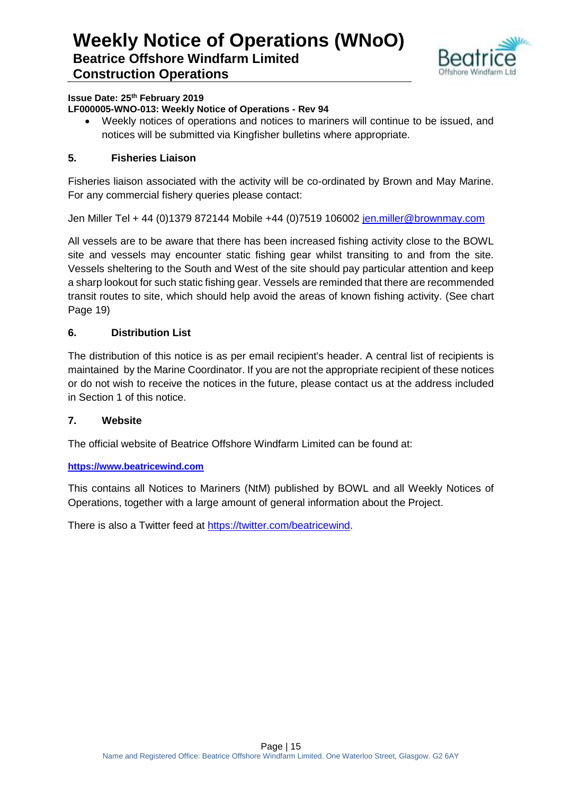

#### **Issue Date: 25th February 2019**

#### **LF000005-WNO-013: Weekly Notice of Operations - Rev 94**

 Weekly notices of operations and notices to mariners will continue to be issued, and notices will be submitted via Kingfisher bulletins where appropriate.

#### **5. Fisheries Liaison**

Fisheries liaison associated with the activity will be co-ordinated by Brown and May Marine. For any commercial fishery queries please contact:

Jen Miller Tel + 44 (0)1379 872144 Mobile +44 (0)7519 106002 [jen.miller@brownmay.com](mailto:jen.miller@brownmay.com)

All vessels are to be aware that there has been increased fishing activity close to the BOWL site and vessels may encounter static fishing gear whilst transiting to and from the site. Vessels sheltering to the South and West of the site should pay particular attention and keep a sharp lookout for such static fishing gear. Vessels are reminded that there are recommended transit routes to site, which should help avoid the areas of known fishing activity. (See chart Page 19)

#### **6. Distribution List**

The distribution of this notice is as per email recipient's header. A central list of recipients is maintained by the Marine Coordinator. If you are not the appropriate recipient of these notices or do not wish to receive the notices in the future, please contact us at the address included in Section 1 of this notice.

#### **7. Website**

The official website of Beatrice Offshore Windfarm Limited can be found at:

#### **[https://www.beatricewind.com](https://www.beatricewind.com/)**

This contains all Notices to Mariners (NtM) published by BOWL and all Weekly Notices of Operations, together with a large amount of general information about the Project.

There is also a Twitter feed at [https://twitter.com/beatricewind.](https://twitter.com/beatricewind)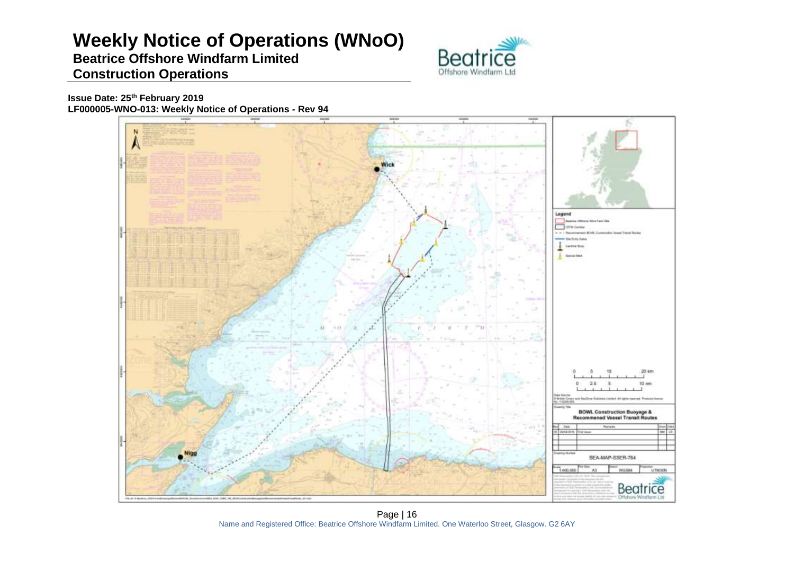# **Weekly Notice of Operations (WNoO)**

### **Beatrice Offshore Windfarm Limited Construction Operations**



**Issue Date: 25th February 2019 LF000005-WNO-013: Weekly Notice of Operations - Rev 94**



Page | 16 Name and Registered Office: Beatrice Offshore Windfarm Limited. One Waterloo Street, Glasgow. G2 6AY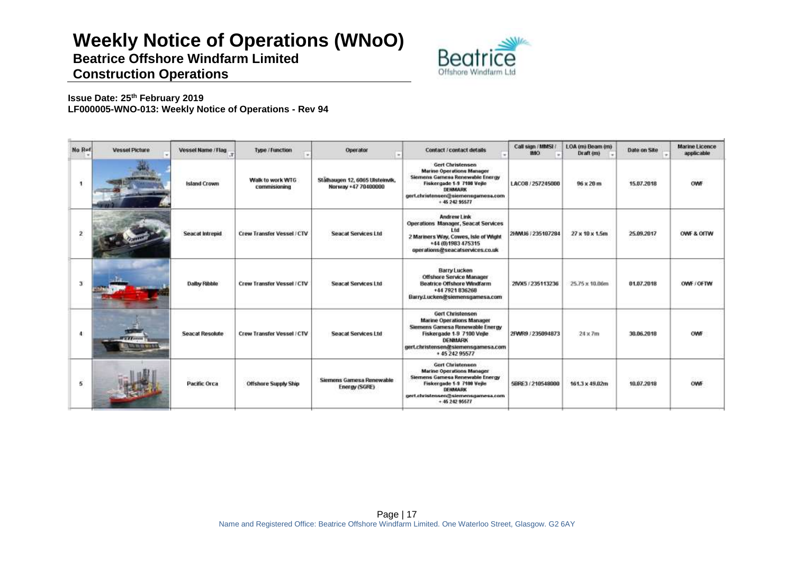# **Weekly Notice of Operations (WNoO)**

**Beatrice Offshore Windfarm Limited**



### **Construction Operations**

**Issue Date: 25th February 2019 LF000005-WNO-013: Weekly Notice of Operations - Rev 94**

| No Ref       | <b>Vessel Picture</b>                    | Vessel Name / Flag     | <b>Type / Function</b>            | Operator                                               | <b>Contact / contact details</b>                                                                                                                                                               | Call sign / MMSI /<br><b>IMO</b> | LOA (m) Beam (m)<br>Draft (m) | Date on Site                   | <b>Marine Licence</b><br>applicable |
|--------------|------------------------------------------|------------------------|-----------------------------------|--------------------------------------------------------|------------------------------------------------------------------------------------------------------------------------------------------------------------------------------------------------|----------------------------------|-------------------------------|--------------------------------|-------------------------------------|
| 1            | <b>HENR</b>                              | <b>Island Crown</b>    | Walk to work WTG<br>commissioning | Stälhaugen 12, 6065 Ulsteinvik,<br>Norway +47 70400000 | <b>Gert Christensen</b><br><b>Marine Operations Manager</b><br>Siemens Gamesa Renewable Energy<br>Fiskergade 1-9 7100 Veile<br>DENMARK<br>gert.christensen@siemensgamesa.com<br>$+ 4524295577$ | LACO8 / 257245000                | CHANNELLO COL<br>96 x 20 m    | 15.07.2018                     | OWF                                 |
|              |                                          | <b>Seacat Intrepid</b> | Crew Transfer Vessel / CTV        | <b>Seacat Services Ltd</b>                             | <b>Andrew Link</b><br>Operations Manager, Seacat Services<br>Lid<br>2 Mariners Way, Cowes, Isle of Wight<br>+44 (0) 1983 475315<br>operations@seacatservices.co.uk                             | 2HWU6 / 235107284                | 27 x 10 x 1.5m                | 25.09.2017                     | OWF & OITW                          |
| $\mathbf{3}$ |                                          | Dalby Ribble           | Crew Transfer Vessel / CTV        | <b>Seacat Services Ltd</b>                             | <b>Barry Lucken</b><br>Offshore Service Manager<br><b>Beatrice Offshore Windfarm</b><br>+44 7921 836268<br>Barry.Lucken@siemensgamesa.com                                                      | 2MX5 / 235113236                 | 25.75 x 10.06m                | 01.07.2018                     | OWE COFTW                           |
| 4            | <b>TELEVISION</b><br>THE VAL NOT LIKE YO | <b>Seacat Resolute</b> | Crew Transfer Vessel / CTV        | <b>Seacat Services Ltd</b>                             | Gert Christensen<br><b>Marine Operations Manager</b><br>Siemens Gamesa Renewable Energy<br>Fiskergade 1-9 7100 Vejle<br>DENMARK<br>gert.christensen@siemensgamesa.com<br>+45 242 95577         | 2FWR9./235094873                 | $24 \times 7m$                | 36.06.2018                     | OWF                                 |
| 5            |                                          | ------<br>Pacific Orca | <b>Offshore Supply Ship</b>       | Siemens Gamesa Renewable<br>Energy (SGRE)              | <b>Gert Christensen</b><br><b>Marine Operations Manager</b><br>Siemens Gamesa Renewable Energy<br>Fiskergade 1-9 7100 Vejle<br>DENMARK<br>gert.christensen@siemensgamesa.com<br>$+4624295677$  | 5BRE3/210548000                  | 161.3 x 49.02m                | 2010/08/19:02:20<br>10.07.2018 | <b>OWF</b>                          |